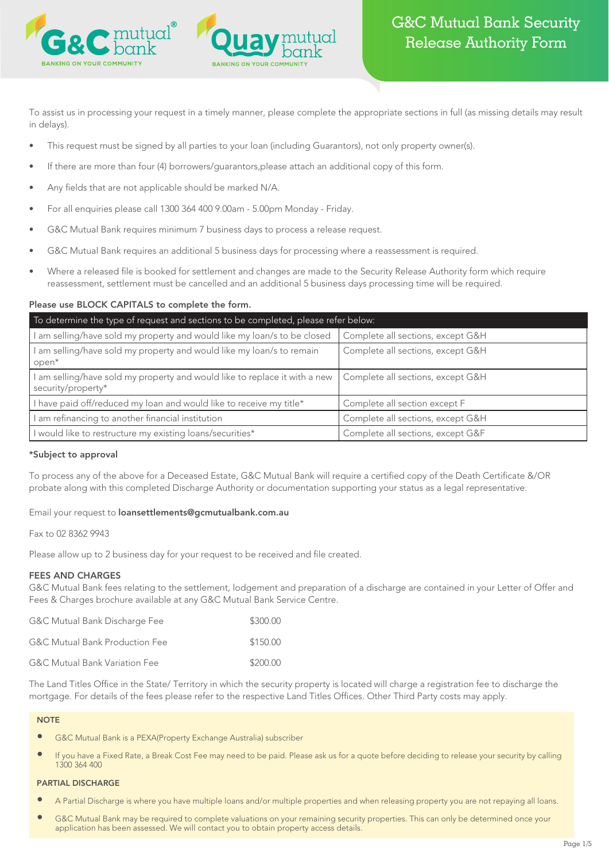

To assist us in processing your request in a timely manner, please complete the appropriate sections in full (as missing details may result in delays).

- This request must be signed by all parties to your loan (including Guarantors), not only property owner(s).
- If there are more than four (4) borrowers/guarantors,please attach an additional copy of this form.
- Any fields that are not applicable should be marked N/A.
- For all enquiries please call 1300 364 400 9.00am 5.00pm Monday Friday.
- G&C Mutual Bank requires minimum 7 business days to process a release request.
- G&C Mutual Bank requires an additional 5 business days for processing where a reassessment is required.
- Where a released file is booked for settlement and changes are made to the Security Release Authority form which require reassessment, settlement must be cancelled and an additional 5 business days processing time will be required.

# Please use BLOCK CAPITALS to complete the form.

| To determine the type of request and sections to be completed, please refer below:             |                                   |  |  |  |
|------------------------------------------------------------------------------------------------|-----------------------------------|--|--|--|
| am selling/have sold my property and would like my loan/s to be closed                         | Complete all sections, except G&H |  |  |  |
| am selling/have sold my property and would like my loan/s to remain<br>$open^*$                | Complete all sections, except G&H |  |  |  |
| am selling/have sold my property and would like to replace it with a new<br>security/property* | Complete all sections, except G&H |  |  |  |
| have paid off/reduced my loan and would like to receive my title*                              | Complete all section except F     |  |  |  |
| am refinancing to another financial institution                                                | Complete all sections, except G&H |  |  |  |
| I would like to restructure my existing loans/securities*                                      | Complete all sections, except G&F |  |  |  |

# \*Subject to approval

To process any of the above for a Deceased Estate, G&C Mutual Bank will require a certified copy of the Death Certificate &/OR probate along with this completed Discharge Authority or documentation supporting your status as a legal representative.

# Email your request to loansettlements@gcmutualbank.com.au

# Fax to 02 8362 9943

Please allow up to 2 business day for your request to be received and file created.

# FEES AND CHARGES

G&C Mutual Bank fees relating to the settlement, lodgement and preparation of a discharge are contained in your Letter of Offer and Fees & Charges brochure available at any G&C Mutual Bank Service Centre.

| G&C Mutual Bank Discharge Fee             | \$300.00 |
|-------------------------------------------|----------|
| <b>G&amp;C Mutual Bank Production Fee</b> | \$150.00 |
| <b>G&amp;C Mutual Bank Variation Fee</b>  | \$200.00 |

The Land Titles Office in the State/ Territory in which the security property is located will charge a registration fee to discharge the mortgage. For details of the fees please refer to the respective Land Titles Offices. Other Third Party costs may apply.

#### **NOTE**

- G&C Mutual Bank is a PEXA(Property Exchange Australia) subscriber
- If you have a Fixed Rate, a Break Cost Fee may need to be paid. Please ask us for a quote before deciding to release your security by calling 1300 364 400

#### PARTIAL DISCHARGE

- A Partial Discharge is where you have multiple loans and/or multiple properties and when releasing property you are not repaying all loans.
- G&C Mutual Bank may be required to complete valuations on your remaining security properties. This can only be determined once your application has been assessed. We will contact you to obtain property access details.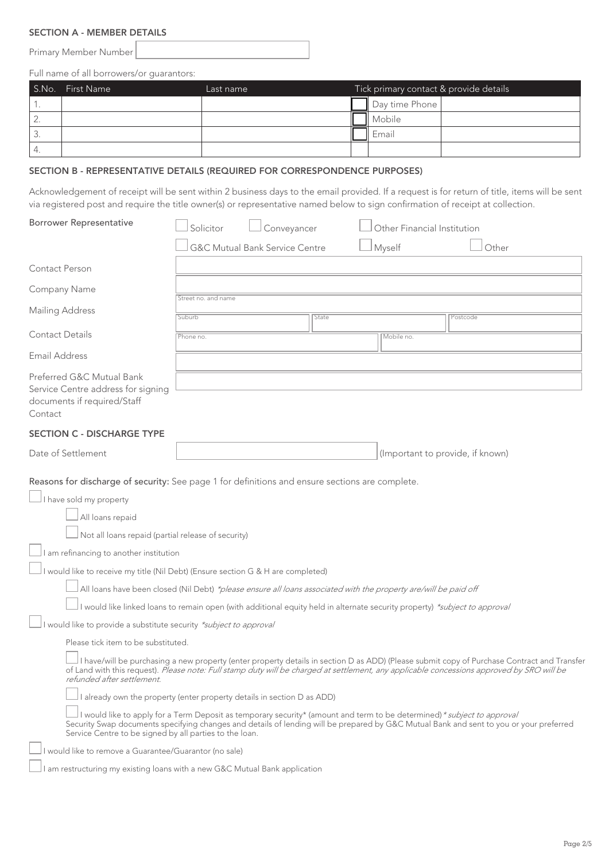# SECTION A - MEMBER DETAILS

Primary Member Number

Full name of all borrowers/or guarantors:

|    | S.No. First Name | Last name | Tick primary contact & provide details |                |  |
|----|------------------|-----------|----------------------------------------|----------------|--|
|    |                  |           |                                        | Day time Phone |  |
|    |                  |           |                                        | II Mobile      |  |
| J. |                  |           |                                        | Emai           |  |
| 4. |                  |           |                                        |                |  |

# SECTION B - REPRESENTATIVE DETAILS (REQUIRED FOR CORRESPONDENCE PURPOSES)

Acknowledgement of receipt will be sent within 2 business days to the email provided. If a request is for return of title, items will be sent via registered post and require the title owner(s) or representative named below to sign confirmation of receipt at collection.

| <b>Borrower Representative</b>                                                                                                                                                                                                                                                                                                                                                                                                                                                                                                                                                                                                                                                                                                                                                                                                            | Solicitor           | Conveyancer                               |       | Other Financial Institution |                                                                                                                                                                                                                                                                                           |
|-------------------------------------------------------------------------------------------------------------------------------------------------------------------------------------------------------------------------------------------------------------------------------------------------------------------------------------------------------------------------------------------------------------------------------------------------------------------------------------------------------------------------------------------------------------------------------------------------------------------------------------------------------------------------------------------------------------------------------------------------------------------------------------------------------------------------------------------|---------------------|-------------------------------------------|-------|-----------------------------|-------------------------------------------------------------------------------------------------------------------------------------------------------------------------------------------------------------------------------------------------------------------------------------------|
|                                                                                                                                                                                                                                                                                                                                                                                                                                                                                                                                                                                                                                                                                                                                                                                                                                           |                     | <b>G&amp;C Mutual Bank Service Centre</b> |       | Myself                      | Other                                                                                                                                                                                                                                                                                     |
| Contact Person                                                                                                                                                                                                                                                                                                                                                                                                                                                                                                                                                                                                                                                                                                                                                                                                                            |                     |                                           |       |                             |                                                                                                                                                                                                                                                                                           |
| Company Name                                                                                                                                                                                                                                                                                                                                                                                                                                                                                                                                                                                                                                                                                                                                                                                                                              | Street no. and name |                                           |       |                             |                                                                                                                                                                                                                                                                                           |
| Mailing Address                                                                                                                                                                                                                                                                                                                                                                                                                                                                                                                                                                                                                                                                                                                                                                                                                           | Suburb              |                                           | State |                             | Postcode                                                                                                                                                                                                                                                                                  |
| <b>Contact Details</b>                                                                                                                                                                                                                                                                                                                                                                                                                                                                                                                                                                                                                                                                                                                                                                                                                    | Phone no            |                                           |       | Mobile no.                  |                                                                                                                                                                                                                                                                                           |
| <b>Email Address</b>                                                                                                                                                                                                                                                                                                                                                                                                                                                                                                                                                                                                                                                                                                                                                                                                                      |                     |                                           |       |                             |                                                                                                                                                                                                                                                                                           |
| Preferred G&C Mutual Bank<br>Service Centre address for signing<br>documents if required/Staff<br>Contact                                                                                                                                                                                                                                                                                                                                                                                                                                                                                                                                                                                                                                                                                                                                 |                     |                                           |       |                             |                                                                                                                                                                                                                                                                                           |
| <b>SECTION C - DISCHARGE TYPE</b>                                                                                                                                                                                                                                                                                                                                                                                                                                                                                                                                                                                                                                                                                                                                                                                                         |                     |                                           |       |                             |                                                                                                                                                                                                                                                                                           |
| Date of Settlement                                                                                                                                                                                                                                                                                                                                                                                                                                                                                                                                                                                                                                                                                                                                                                                                                        |                     |                                           |       |                             | (Important to provide, if known)                                                                                                                                                                                                                                                          |
| I have sold my property<br>All loans repaid<br>Not all loans repaid (partial release of security)<br>$\Box$ I am refinancing to another institution<br>I would like to receive my title (Nil Debt) (Ensure section G & H are completed)<br>All loans have been closed (Nil Debt) *please ensure all loans associated with the property are/will be paid off<br>I would like linked loans to remain open (with additional equity held in alternate security property) *subject to approval<br>I would like to provide a substitute security *subject to approval<br>Please tick item to be substituted.<br>refunded after settlement.<br>already own the property (enter property details in section D as ADD)<br>I would like to apply for a Term Deposit as temporary security* (amount and term to be determined) * subject to approval |                     |                                           |       |                             | I have/will be purchasing a new property (enter property details in section D as ADD) (Please submit copy of Purchase Contract and Transfer<br>of Land with this request). Please note: Full stamp duty will be charged at settlement, any applicable concessions approved by SRO will be |
| Service Centre to be signed by all parties to the loan.                                                                                                                                                                                                                                                                                                                                                                                                                                                                                                                                                                                                                                                                                                                                                                                   |                     |                                           |       |                             | Security Swap documents specifying changes and details of lending will be prepared by G&C Mutual Bank and sent to you or your preferred                                                                                                                                                   |
| I would like to remove a Guarantee/Guarantor (no sale)                                                                                                                                                                                                                                                                                                                                                                                                                                                                                                                                                                                                                                                                                                                                                                                    |                     |                                           |       |                             |                                                                                                                                                                                                                                                                                           |
| I am restructuring my existing loans with a new G&C Mutual Bank application                                                                                                                                                                                                                                                                                                                                                                                                                                                                                                                                                                                                                                                                                                                                                               |                     |                                           |       |                             |                                                                                                                                                                                                                                                                                           |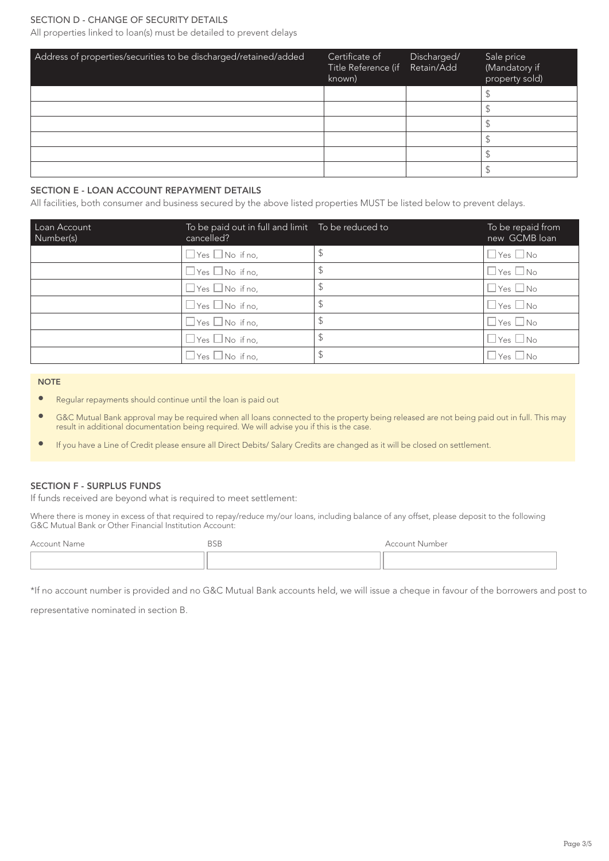# SECTION D - CHANGE OF SECURITY DETAILS

All properties linked to loan(s) must be detailed to prevent delays

| Address of properties/securities to be discharged/retained/added | Certificate of<br>Title Reference (if Retain/Add<br>known) | Discharged/ | Sale price<br>(Mandatory if<br>property sold) |
|------------------------------------------------------------------|------------------------------------------------------------|-------------|-----------------------------------------------|
|                                                                  |                                                            |             |                                               |
|                                                                  |                                                            |             |                                               |
|                                                                  |                                                            |             |                                               |
|                                                                  |                                                            |             |                                               |
|                                                                  |                                                            |             |                                               |
|                                                                  |                                                            |             |                                               |

### SECTION E - LOAN ACCOUNT REPAYMENT DETAILS

All facilities, both consumer and business secured by the above listed properties MUST be listed below to prevent delays.

| Loan Account<br>Number(s) | To be paid out in full and limit  To be reduced to<br>cancelled? | To be repaid from<br>new GCMB loan |
|---------------------------|------------------------------------------------------------------|------------------------------------|
|                           | $\Box$ Yes $\Box$ No if no,                                      | $\Box$ Yes $\Box$ No               |
|                           | $\Box$ Yes $\Box$ No if no,                                      | $\Box$ Yes $\Box$ No               |
|                           | $\Box$ Yes $\Box$ No if no,                                      | $\Box$ Yes $\Box$ No               |
|                           | $\Box$ Yes $\Box$ No if no,                                      | $\square$ Yes $\square$ No         |
|                           | $\Box$ Yes $\Box$ No if no,                                      | $\Box$ Yes $\Box$ No               |
|                           | $\Box$ Yes $\Box$ No if no,                                      | $\square$ Yes $\square$ No         |
|                           | $\Box$ Yes $\Box$ No if no,                                      | $\Box$ Yes $\Box$ No               |

#### **NOTE**

- Regular repayments should continue until the loan is paid out
- **•** G&C Mutual Bank approval may be required when all loans connected to the property being released are not being paid out in full. This may result in additional documentation being required. We will advise you if this is the case.
- • If you have a Line of Credit please ensure all Direct Debits/ Salary Credits are changed as it will be closed on settlement.

### SECTION F - SURPLUS FUNDS

If funds received are beyond what is required to meet settlement:

Where there is money in excess of that required to repay/reduce my/our loans, including balance of any offset, please deposit to the following G&C Mutual Bank or Other Financial Institution Account:

| Account Name | <b>BSB</b> | Account Number |
|--------------|------------|----------------|
|              |            |                |

\*If no account number is provided and no G&C Mutual Bank accounts held, we will issue a cheque in favour of the borrowers and post to

representative nominated in section B.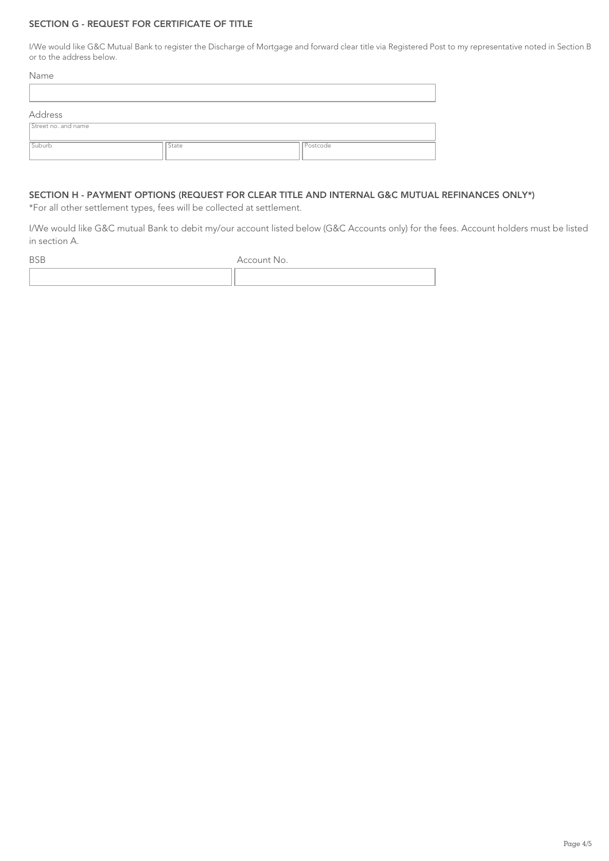# SECTION G - REQUEST FOR CERTIFICATE OF TITLE

I/We would like G&C Mutual Bank to register the Discharge of Mortgage and forward clear title via Registered Post to my representative noted in Section B or to the address below.

| Name                |       |          |
|---------------------|-------|----------|
|                     |       |          |
| Address             |       |          |
| Street no. and name |       |          |
| Suburb              | State | Postcode |

# SECTION H - PAYMENT OPTIONS (REQUEST FOR CLEAR TITLE AND INTERNAL G&C MUTUAL REFINANCES ONLY\*)

\*For all other settlement types, fees will be collected at settlement.

I/We would like G&C mutual Bank to debit my/our account listed below (G&C Accounts only) for the fees. Account holders must be listed in section A.

| <b>DJD</b> | Account No. |
|------------|-------------|
|            |             |